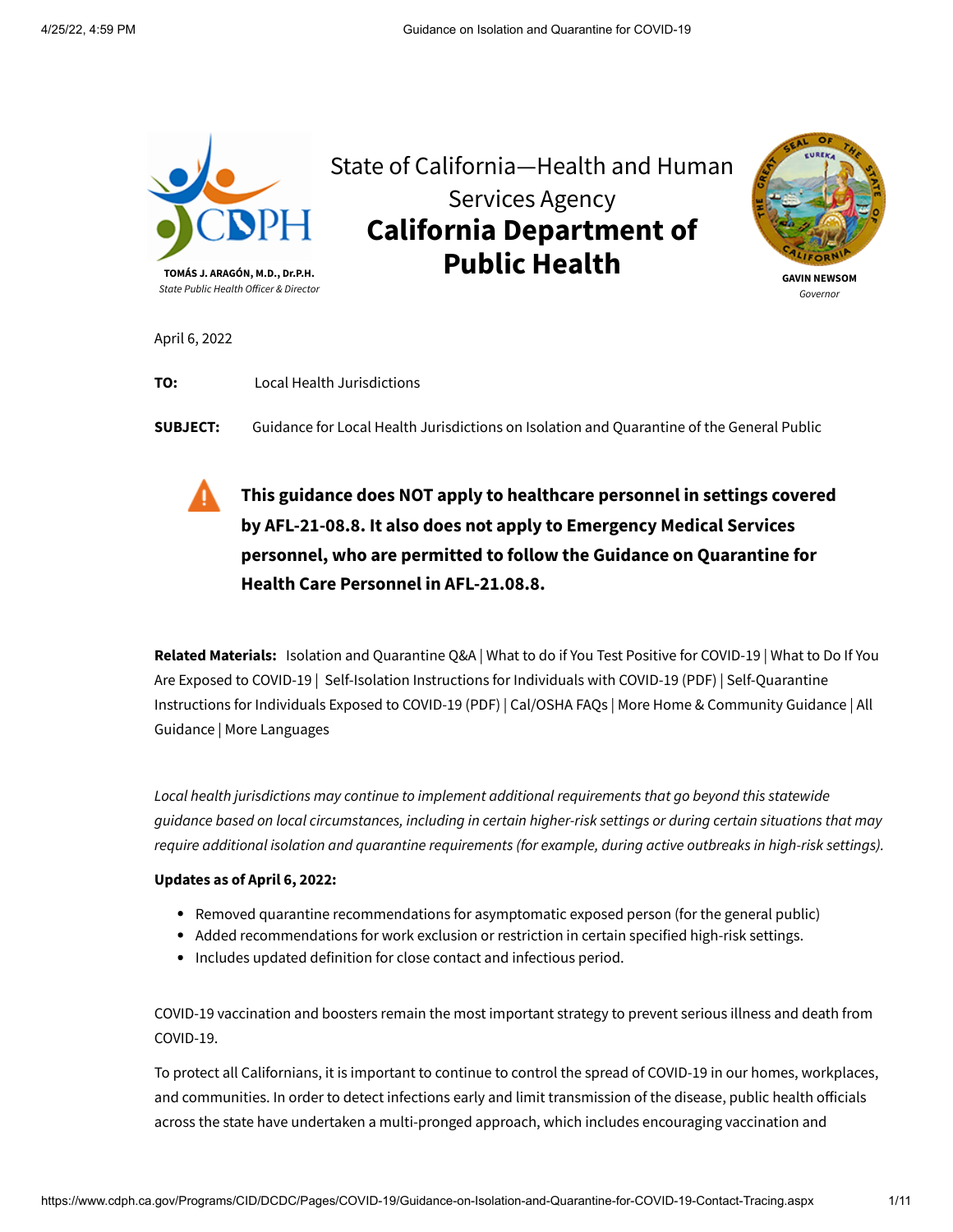

State of California—Health and Human Services Agency **California Department of Public Health**



**GAVIN NEWSOM** *Governor*

April 6, 2022

**TO:** Local Health Jurisdictions

**SUBJECT:** Guidance for Local Health Jurisdictions on Isolation and Quarantine of the General Public

**This guidance does NOT apply to healthcare personnel in settings covered by [AFL-21-08.8.](https://www.cdph.ca.gov/Programs/CHCQ/LCP/Pages/AFL-21-08.aspx) It also does not apply to Emergency Medical Services personnel, who are permitted to follow the Guidance on Quarantine for Health Care Personnel in [AFL-21.08.8](https://www.cdph.ca.gov/Programs/CHCQ/LCP/Pages/AFL-21-08.aspx).**

**Related Materials:** [Isolation and Quarantine Q&A](https://www.cdph.ca.gov/Programs/CID/DCDC/Pages/COVID-19/Isolation-Quarantine-QA.aspx) | [What to do if You Test Positive for COVID-19](https://www.cdph.ca.gov/Programs/CID/DCDC/Pages/COVID-19/What-to-do-if-You-Test-Positive-for-COVID-19.aspx) | What to Do If You Are Exposed to COVID-19 | [Self-Isolation Instructions for Individuals with COVID-19](https://www.cdph.ca.gov/Programs/CID/DCDC/Pages/COVID-19/What-to-Do-If-You-Are-Exposed-to-COVID-19.aspx) (PDF) | Self-Quarantine [Instructions for Individuals Exposed to COVID-19](https://www.cdph.ca.gov/Programs/CID/DCDC/Pages/Guidance.aspx) (PDF) | [Cal/OSHA FAQs](https://www.dir.ca.gov/dosh/coronavirus/COVID19FAQs.html#iso) | [More Home &](https://www.cdph.ca.gov/Programs/CID/DCDC/Pages/COVID-19/HomeAndCommunity.aspx) Community Guidance | All Guidance | [More Languages](https://www.cdph.ca.gov/Programs/CID/DCDC/Pages/COVID-19/COVID19MultilingualDocuments.aspx)

*Local health jurisdictions may continue to implement additional requirements that go beyond this statewide guidance based on local circumstances, including in certain higher-risk settings or during certain situations that may require additional isolation and quarantine requirements (for example, during active outbreaks in high-risk settings).*

### **Updates as of April 6, 2022:**

- Removed quarantine recommendations for asymptomatic exposed person (for the general public)
- Added recommendations for work exclusion or restriction in certain specified high-risk settings.
- Includes updated definition for close contact and infectious period.

COVID-19 vaccination and boosters remain the most important strategy to prevent serious illness and death from COVID-19.

To protect all Californians, it is important to continue to control the spread of COVID-19 in our homes, workplaces, and communities. In order to detect infections early and limit transmission of the disease, public health officials across the state have undertaken a multi-pronged approach, which includes encouraging vaccination and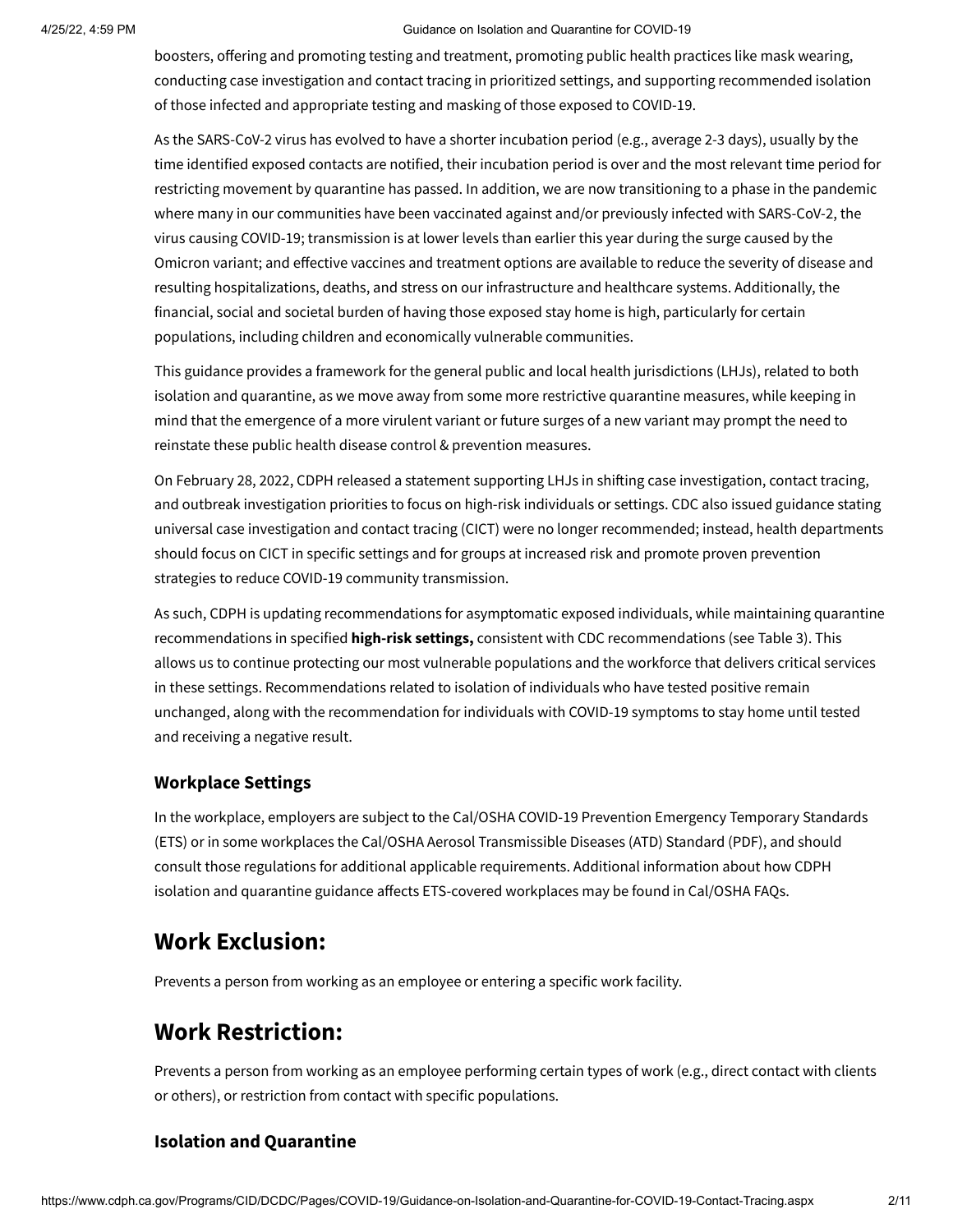#### 4/25/22, 4:59 PM Guidance on Isolation and Quarantine for COVID-19

boosters, offering and promoting testing and treatment, promoting public health practices like mask wearing, conducting case investigation and contact tracing in prioritized settings, and supporting recommended isolation of those infected and appropriate testing and masking of those exposed to COVID-19.

As the SARS-CoV-2 virus has evolved to have a shorter incubation period (e.g., average 2-3 days), usually by the time identified exposed contacts are notified, their incubation period is over and the most relevant time period for restricting movement by quarantine has passed. In addition, we are now transitioning to a phase in the pandemic where many in our communities have been vaccinated against and/or previously infected with SARS-CoV-2, the virus causing COVID-19; transmission is at lower levels than earlier this year during the surge caused by the Omicron variant; and effective vaccines and treatment options are available to reduce the severity of disease and resulting hospitalizations, deaths, and stress on our infrastructure and healthcare systems. Additionally, the financial, social and societal burden of having those exposed stay home is high, particularly for certain populations, including children and economically vulnerable communities.

This guidance provides a framework for the general public and local health jurisdictions (LHJs), related to both isolation and quarantine, as we move away from some more restrictive quarantine measures, while keeping in mind that the emergence of a more virulent variant or future surges of a new variant may prompt the need to reinstate these public health disease control & prevention measures.

On February 28, 2022, CDPH released a [statement](https://www.cdph.ca.gov/Programs/CID/DCDC/Pages/COVID-19/Case-Investigation-Contact-Tracing-Outbreak-Investigation-Priorities.aspx) supporting LHJs in shifting case investigation, contact tracing, and outbreak investigation priorities to focus on high-risk individuals or settings. CDC also issued [guidance](https://www.cdc.gov/coronavirus/2019-ncov/php/contact-tracing/contact-tracing-plan/prioritization.html) stating universal case investigation and contact tracing (CICT) were no longer recommended; instead, health departments should focus on CICT in specific settings and for groups at increased risk and promote proven prevention strategies to reduce COVID-19 community transmission.

As such, CDPH is updating recommendations for asymptomatic exposed individuals, while maintaining quarantine recommendations in specified **high-risk settings,** consistent with CDC recommendations (see Table 3). This allows us to continue protecting our most vulnerable populations and the workforce that delivers critical services in these settings. Recommendations related to isolation of individuals who have tested positive remain unchanged, along with the recommendation for individuals with COVID-19 symptoms to stay home until tested and receiving a negative result.

## **Workplace Settings**

In the workplace, employers are subject to the Cal/OSHA COVID-19 Prevention Emergency Temporary Standards (ETS) or in some workplaces the [Cal/OSHA Aerosol Transmissible Diseases \(ATD\) Standard \(PDF\), and should](https://www.dir.ca.gov/dosh/coronavirus/ETS.html) consult those regulations for additional applicable requirements. Additional information about how CDPH isolation and quarantine guidance affects ETS-covered workplaces may be found in [Cal/OSHA FAQs.](https://www.dir.ca.gov/dosh/coronavirus/COVID19FAQs.html#iso)

## **Work Exclusion:**

Prevents a person from working as an employee or entering a specific work facility.

## **Work Restriction:**

Prevents a person from working as an employee performing certain types of work (e.g., direct contact with clients or others), or restriction from contact with specific populations.

## **Isolation and Quarantine**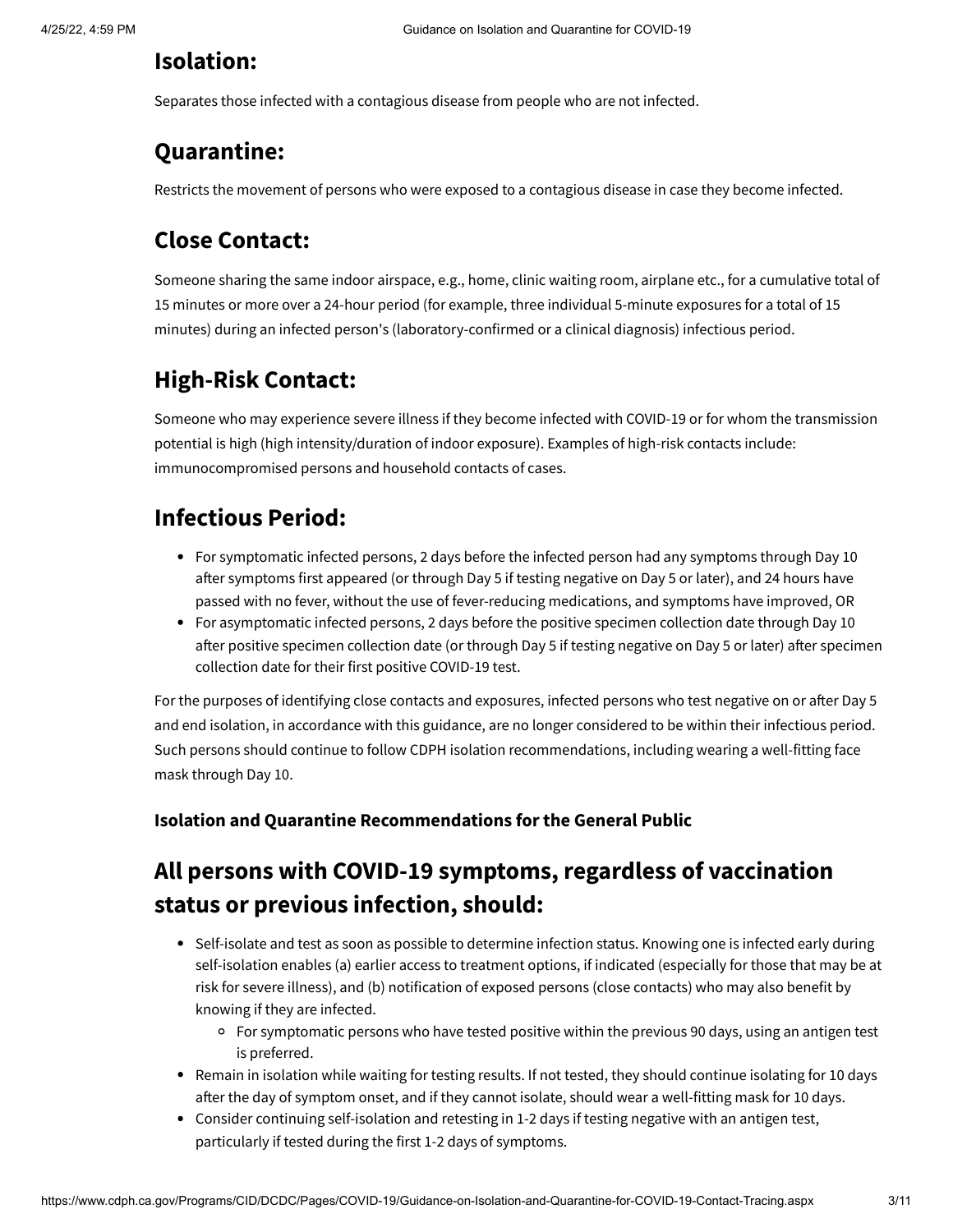## **Isolation:**

Separates those infected with a contagious disease from people who are not infected.

# **Quarantine:**

Restricts the movement of persons who were exposed to a contagious disease in case they become infected.

# **Close Contact:**

Someone sharing the same indoor airspace, e.g., home, clinic waiting room, airplane etc., for a cumulative total of 15 minutes or more over a 24-hour period (for example, three individual 5-minute exposures for a total of 15 minutes) during an infected person's (laboratory-confirmed or a [clinical diagnosis\)](https://ndc.services.cdc.gov/case-definitions/coronavirus-disease-2019-2021/) infectious period.

# **High-Risk Contact:**

Someone who may experience severe illness if they become infected with COVID-19 or for whom the transmission potential is high (high intensity/duration of indoor exposure). Examples of high-risk contacts include: immunocompromised persons and household contacts of cases.

# **Infectious Period:**

- For symptomatic infected persons, 2 days before the infected person had any symptoms through Day 10 after symptoms first appeared (or through Day 5 if testing negative on Day 5 or later), and 24 hours have passed with no fever, without the use of fever-reducing medications, and symptoms have improved, OR
- For asymptomatic infected persons, 2 days before the positive specimen collection date through Day 10 after positive specimen collection date (or through Day 5 if testing negative on Day 5 or later) after specimen collection date for their first positive COVID-19 test.

For the purposes of identifying close contacts and exposures, infected persons who test negative on or after Day 5 and end isolation, in accordance with this guidance, are no longer considered to be within their infectious period. Such persons should continue to follow CDPH isolation recommendations, including wearing a well-fitting face mask through Day 10.

## **Isolation and Quarantine Recommendations for the General Public**

# **All persons with COVID-19 symptoms, regardless of vaccination status or previous infection, should:**

- Self-isolate and test as soon as possible to determine infection status. Knowing one is infected early during self-isolation enables (a) earlier access to treatment options, if indicated (especially for those that may be at risk for severe illness), and (b) notification of exposed persons (close contacts) who may also benefit by knowing if they are infected.
	- For symptomatic persons who have tested positive within the previous 90 days, using an antigen test is preferred.
- Remain in isolation while waiting for testing results. If not tested, they should continue isolating for 10 days after the day of symptom onset, and if they cannot isolate, should wear a well-fitting mask for 10 days.
- Consider continuing self-isolation and retesting in 1-2 days if testing negative with an antigen test, particularly if tested during the first 1-2 days of symptoms.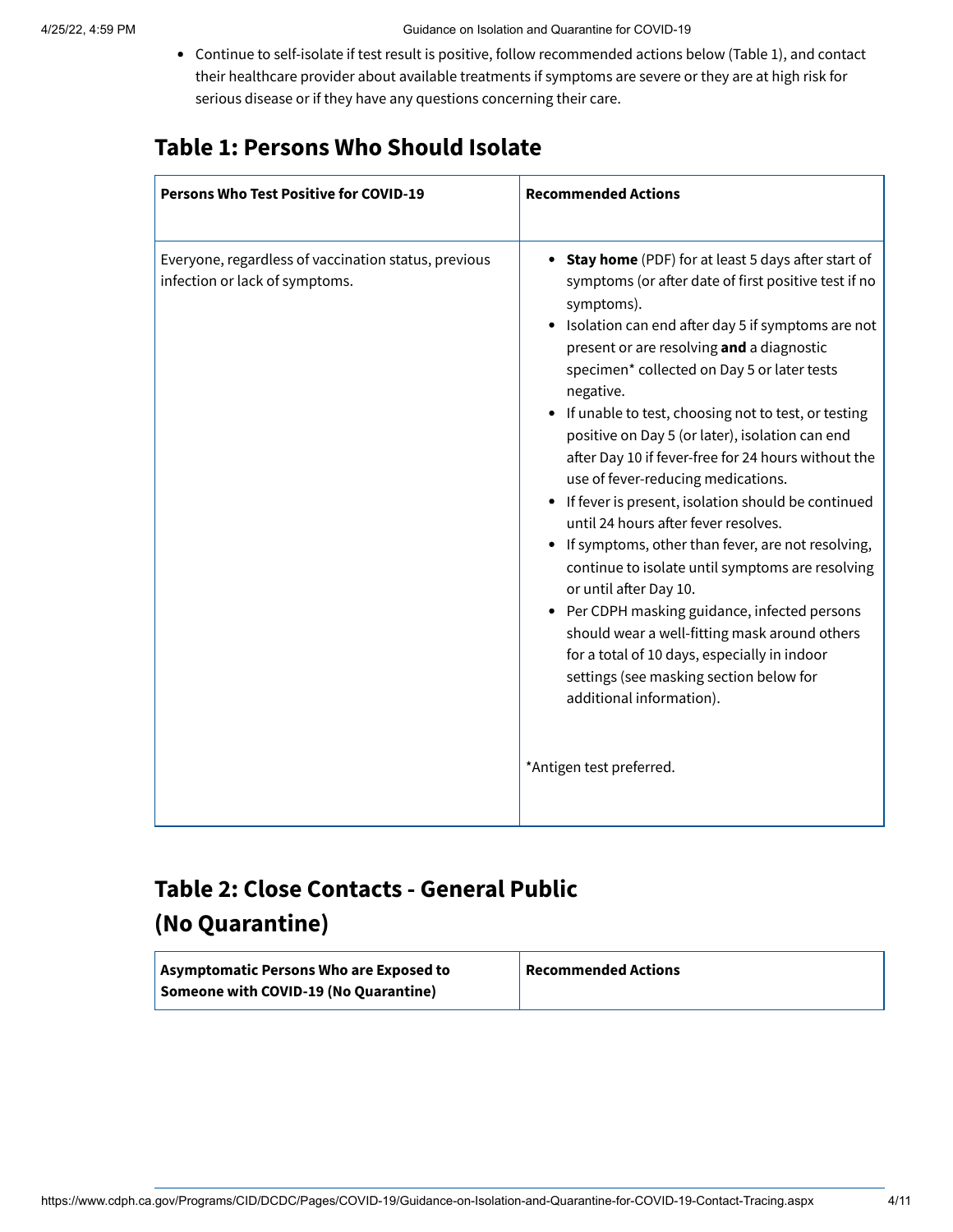Continue to self-isolate if test result is positive, follow recommended actions below (Table 1), and contact their healthcare provider about available treatments if symptoms are severe or they are at high risk for serious disease or if they have any questions concerning their care.

# **Table 1: Persons Who Should Isolate**

| <b>Persons Who Test Positive for COVID-19</b>                                          | <b>Recommended Actions</b>                                                                                                                                                                                                                                                                                                                                                                                                                                                                                                                                                                                                                                                                                                                                                                                                                                                                                                                                                                            |
|----------------------------------------------------------------------------------------|-------------------------------------------------------------------------------------------------------------------------------------------------------------------------------------------------------------------------------------------------------------------------------------------------------------------------------------------------------------------------------------------------------------------------------------------------------------------------------------------------------------------------------------------------------------------------------------------------------------------------------------------------------------------------------------------------------------------------------------------------------------------------------------------------------------------------------------------------------------------------------------------------------------------------------------------------------------------------------------------------------|
| Everyone, regardless of vaccination status, previous<br>infection or lack of symptoms. | <b>Stay home</b> (PDF) for at least 5 days after start of<br>symptoms (or after date of first positive test if no<br>symptoms).<br>Isolation can end after day 5 if symptoms are not<br>present or are resolving and a diagnostic<br>specimen* collected on Day 5 or later tests<br>negative.<br>If unable to test, choosing not to test, or testing<br>positive on Day 5 (or later), isolation can end<br>after Day 10 if fever-free for 24 hours without the<br>use of fever-reducing medications.<br>If fever is present, isolation should be continued<br>$\bullet$<br>until 24 hours after fever resolves.<br>If symptoms, other than fever, are not resolving,<br>continue to isolate until symptoms are resolving<br>or until after Day 10.<br>Per CDPH masking guidance, infected persons<br>should wear a well-fitting mask around others<br>for a total of 10 days, especially in indoor<br>settings (see masking section below for<br>additional information).<br>*Antigen test preferred. |

# <span id="page-3-0"></span>**Table 2: Close Contacts - General Public (No Quarantine)**

| Asymptomatic Persons Who are Exposed to | <b>Recommended Actions</b> |
|-----------------------------------------|----------------------------|
| Someone with COVID-19 (No Quarantine)   |                            |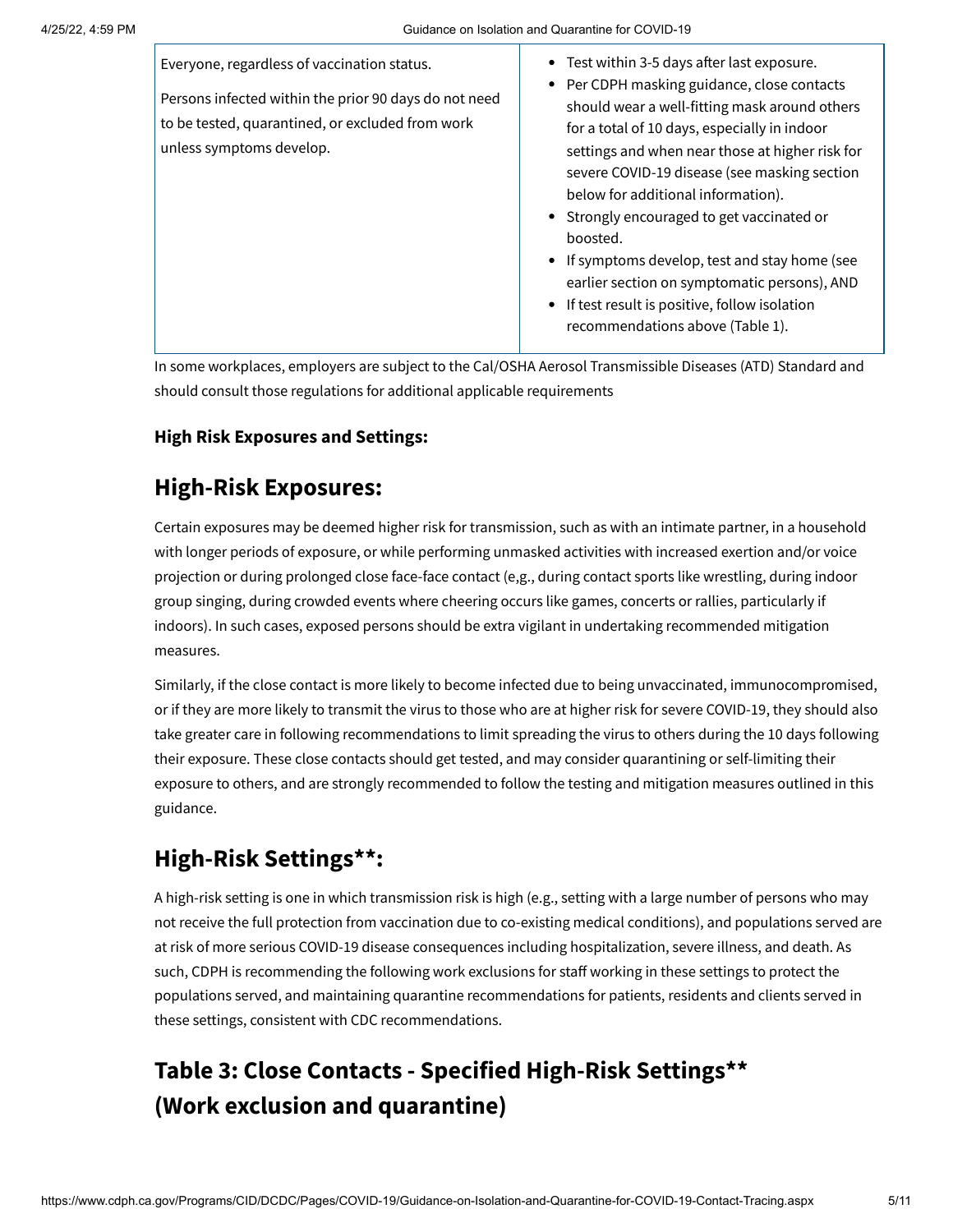| Everyone, regardless of vaccination status.<br>Persons infected within the prior 90 days do not need<br>to be tested, quarantined, or excluded from work<br>unless symptoms develop. | • Test within 3-5 days after last exposure.<br>• Per CDPH masking guidance, close contacts<br>should wear a well-fitting mask around others<br>for a total of 10 days, especially in indoor<br>settings and when near those at higher risk for<br>severe COVID-19 disease (see masking section<br>below for additional information).<br>• Strongly encouraged to get vaccinated or<br>boosted.<br>• If symptoms develop, test and stay home (see<br>earlier section on symptomatic persons), AND<br>• If test result is positive, follow isolation<br>recommendations above (Table 1). |
|--------------------------------------------------------------------------------------------------------------------------------------------------------------------------------------|----------------------------------------------------------------------------------------------------------------------------------------------------------------------------------------------------------------------------------------------------------------------------------------------------------------------------------------------------------------------------------------------------------------------------------------------------------------------------------------------------------------------------------------------------------------------------------------|

In some workplaces, employers are subject to the Cal/OSHA Aerosol Transmissible Diseases (ATD) Standard and should consult those regulations for additional applicable requirements

## **High Risk Exposures and Settings:**

## **High-Risk Exposures:**

Certain exposures may be deemed higher risk for transmission, such as with an intimate partner, in a household with longer periods of exposure, or while performing unmasked activities with increased exertion and/or voice projection or during prolonged close face-face contact (e,g., during contact sports like wrestling, during indoor group singing, during crowded events where cheering occurs like games, concerts or rallies, particularly if indoors). In such cases, exposed persons should be extra vigilant in undertaking recommended mitigation measures.

Similarly, if the close contact is more likely to become infected due to being unvaccinated, immunocompromised, or if they are more likely to transmit the virus to those who are at higher risk for severe COVID-19, they should also take greater care in following recommendations to limit spreading the virus to others during the 10 days following their exposure. These close contacts should get tested, and may consider quarantining or self-limiting their exposure to others, and are strongly recommended to follow the testing and mitigation measures outlined in this guidance.

# **High-Risk Settings[\\*\\*](#page-5-0):**

A high-risk setting is one in which transmission risk is high (e.g., setting with a large number of persons who may not receive the full protection from vaccination due to co-existing medical conditions), and populations served are at risk of more serious COVID-19 disease consequences including hospitalization, severe illness, and death. As such, CDPH is recommending the following work exclusions for staff working in these settings to protect the populations served, and maintaining quarantine recommendations for patients, residents and clients served in these settings, consistent with CDC recommendations.

# **Table 3: Close Contacts - Specified High-Risk Settings[\\*\\*](#page-5-0) (Work exclusion and quarantine)**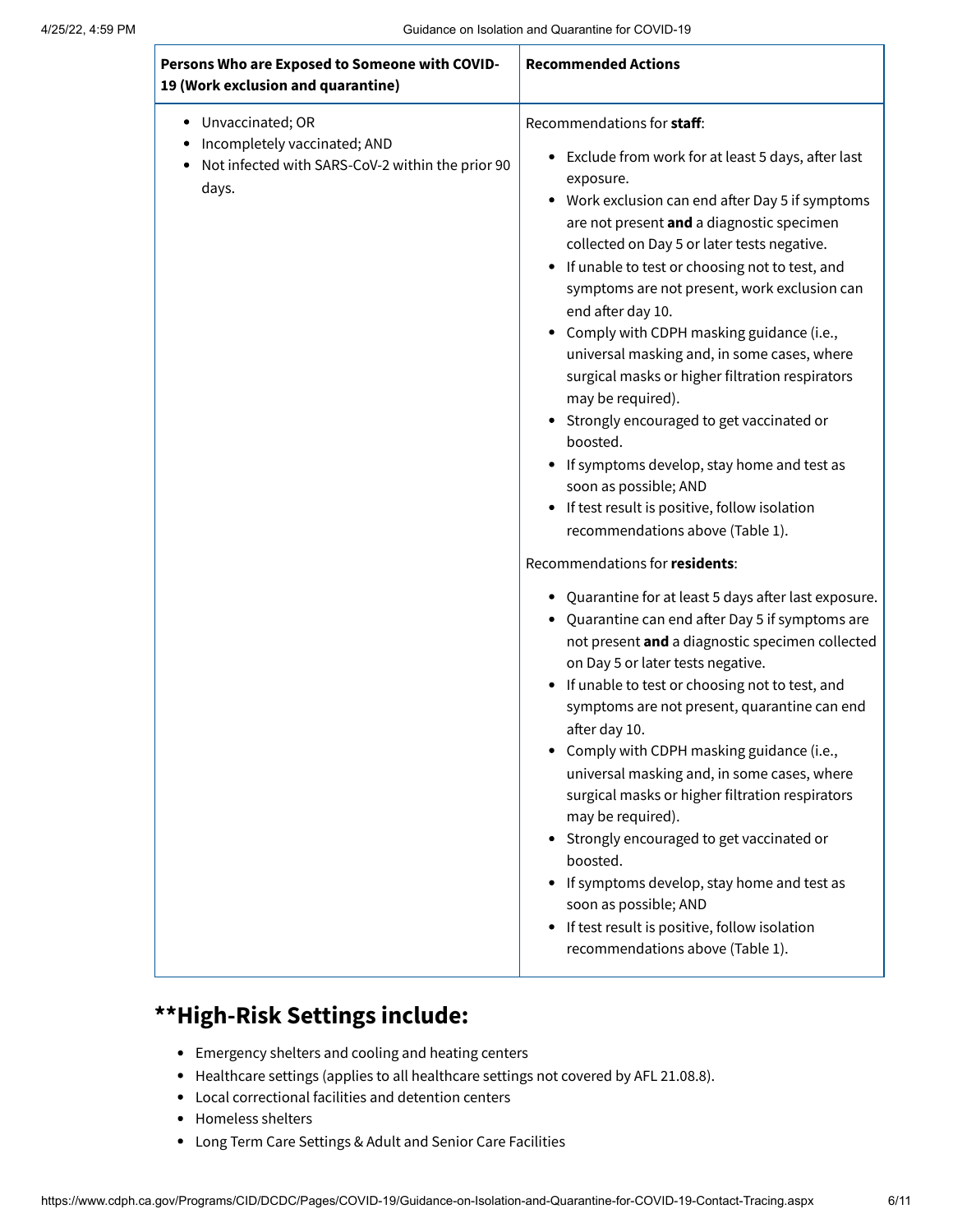| Persons Who are Exposed to Someone with COVID-<br>19 (Work exclusion and quarantine)                               | <b>Recommended Actions</b>                                                                                                                                                                                                                                                                                                                                                                                                                                                                                                                                                                                                                                                                                                                                                                                                                                                                                                                                                                                                                                                                                                                                                                                                                                                                                                                                                                                                                                                                                                     |
|--------------------------------------------------------------------------------------------------------------------|--------------------------------------------------------------------------------------------------------------------------------------------------------------------------------------------------------------------------------------------------------------------------------------------------------------------------------------------------------------------------------------------------------------------------------------------------------------------------------------------------------------------------------------------------------------------------------------------------------------------------------------------------------------------------------------------------------------------------------------------------------------------------------------------------------------------------------------------------------------------------------------------------------------------------------------------------------------------------------------------------------------------------------------------------------------------------------------------------------------------------------------------------------------------------------------------------------------------------------------------------------------------------------------------------------------------------------------------------------------------------------------------------------------------------------------------------------------------------------------------------------------------------------|
| Unvaccinated; OR<br>٠<br>Incompletely vaccinated; AND<br>Not infected with SARS-CoV-2 within the prior 90<br>days. | Recommendations for staff:<br>• Exclude from work for at least 5 days, after last<br>exposure.<br>• Work exclusion can end after Day 5 if symptoms<br>are not present and a diagnostic specimen<br>collected on Day 5 or later tests negative.<br>• If unable to test or choosing not to test, and<br>symptoms are not present, work exclusion can<br>end after day 10.<br>• Comply with CDPH masking guidance (i.e.,<br>universal masking and, in some cases, where<br>surgical masks or higher filtration respirators<br>may be required).<br>Strongly encouraged to get vaccinated or<br>boosted.<br>If symptoms develop, stay home and test as<br>soon as possible; AND<br>• If test result is positive, follow isolation<br>recommendations above (Table 1).<br>Recommendations for residents:<br>Quarantine for at least 5 days after last exposure.<br>Quarantine can end after Day 5 if symptoms are<br>not present and a diagnostic specimen collected<br>on Day 5 or later tests negative.<br>• If unable to test or choosing not to test, and<br>symptoms are not present, quarantine can end<br>after day 10.<br>• Comply with CDPH masking guidance (i.e.,<br>universal masking and, in some cases, where<br>surgical masks or higher filtration respirators<br>may be required).<br>Strongly encouraged to get vaccinated or<br>boosted.<br>If symptoms develop, stay home and test as<br>soon as possible; AND<br>If test result is positive, follow isolation<br>$\bullet$<br>recommendations above (Table 1). |

# <span id="page-5-0"></span>**\*\*High-Risk Settings include:**

- [Emergency shelters](https://www.cdc.gov/coronavirus/2019-ncov/php/eh-practitioners/general-population-disaster-shelters.html) and [cooling and heating centers](https://www.cdc.gov/coronavirus/2019-ncov/php/cooling-center.html)
- [Healthcare settings](https://www.cdc.gov/coronavirus/2019-ncov/hcp/infection-control-after-vaccination.html) (applies to all healthcare settings not covered by AFL 21.08.8).
- Local [correctional facilities and detention centers](https://www.cdc.gov/coronavirus/2019-ncov/community/correction-detention/guidance-correctional-detention.html)
- [Homeless shelters](https://www.cdc.gov/coronavirus/2019-ncov/community/homeless-shelters/plan-prepare-respond.html)
- [Long Term Care Settings & Adult and Senior Care Facilities](https://www.cdc.gov/coronavirus/2019-ncov/hcp/nursing-home-long-term-care.html)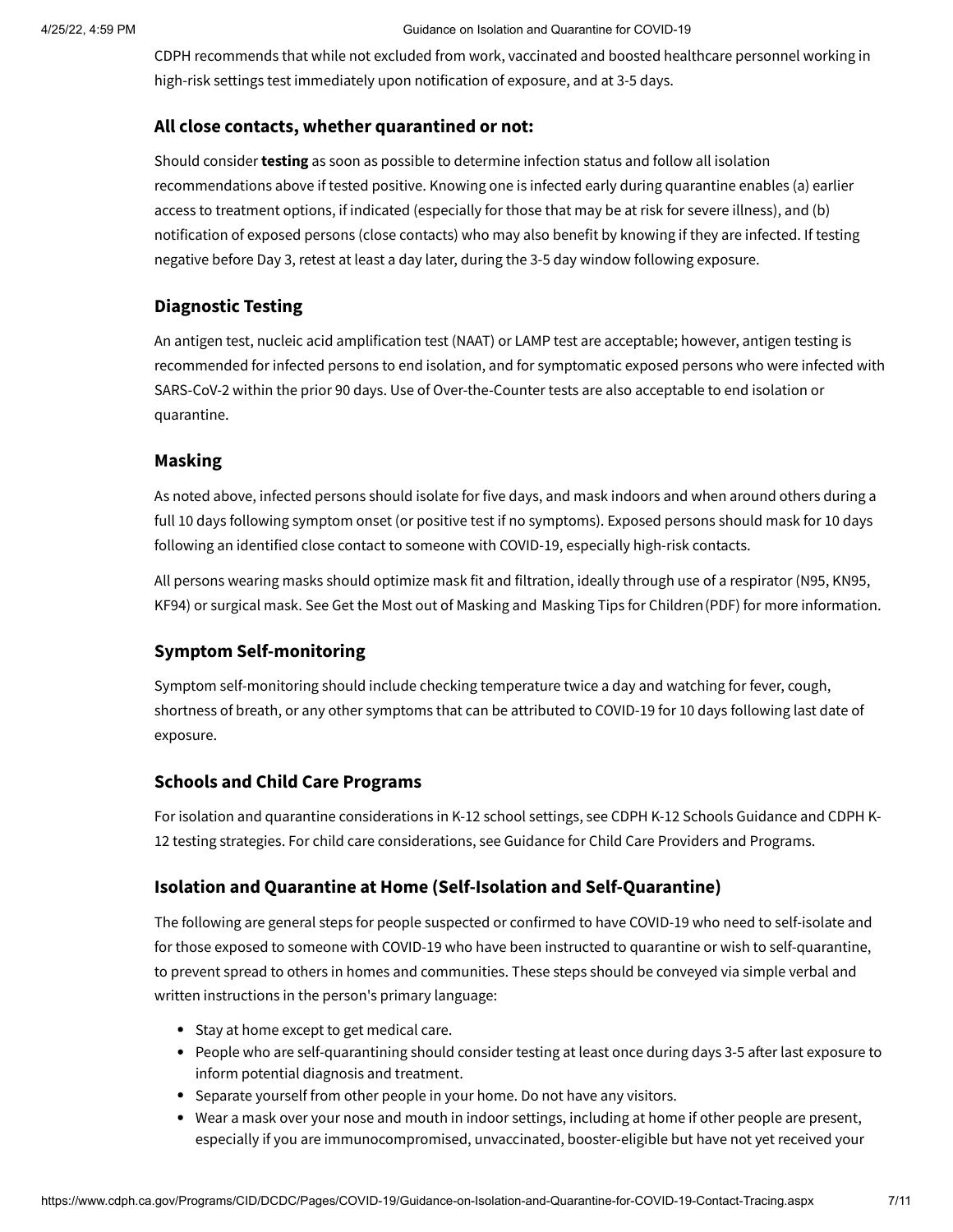#### 4/25/22, 4:59 PM Guidance on Isolation and Quarantine for COVID-19

CDPH recommends that while not excluded from work, vaccinated and boosted healthcare personnel working in high-risk settings test immediately upon notification of exposure, and at 3-5 days.

### **All close contacts, whether quarantined or not:**

Should consider **testing** as soon as possible to determine infection status and follow all isolation recommendations above if tested positive. Knowing one is infected early during quarantine enables (a) earlier access to treatment options, if indicated (especially for those that may be at risk for severe illness), and (b) notification of exposed persons (close contacts) who may also benefit by knowing if they are infected. If testing negative before Day 3, retest at least a day later, during the 3-5 day window following exposure.

### **Diagnostic Testing**

An antigen test, nucleic acid amplification test (NAAT) or LAMP test are acceptable; however, antigen testing is recommended for infected persons to end isolation, and for symptomatic exposed persons who were infected with SARS-CoV-2 within the prior 90 days. Use of Over-the-Counter tests are also acceptable to end isolation or quarantine.

### **Masking**

As noted above, infected persons should isolate for five days, and mask indoors and when around others during a full 10 days following symptom onset (or positive test if no symptoms). Exposed persons should mask for 10 days following an identified close contact to someone with COVID-19, especially high-risk contacts.

All persons wearing masks should optimize mask fit and filtration, ideally through use of a [respirator](https://www.cdc.gov/coronavirus/2019-ncov/prevent-getting-sick/types-of-masks.html) (N95, KN95, KF94) or surgical mask. See [Get the Most out of Masking](https://www.cdph.ca.gov/Programs/CID/DCDC/Pages/COVID-19/Get-the-Most-out-of-Masking.aspx) and [Masking Tips for Children](https://www.cdph.ca.gov/Programs/CID/DCDC/CDPH%20Document%20Library/COVID-19/masking%20for%20kids/masking-for-kids.pdf)(PDF) for more information.

### **Symptom Self-monitoring**

Symptom self-monitoring should include checking temperature twice a day and watching for fever, cough, shortness of breath, or any other [symptoms that can be attributed to COVID-19](https://www.cdc.gov/coronavirus/2019-ncov/symptoms-testing/symptoms.html) for 10 days following last date of exposure.

### **Schools and Child Care Programs**

[For isolation and quarantine considerations in K-12 school settings, see](https://testing.covid19.ca.gov/wp-content/uploads/sites/332/2021/07/School-Testing-Considerations.pdf) [CDPH K-12 Schools Guidance](https://www.cdph.ca.gov/Programs/CID/DCDC/Pages/COVID-19/K-12-Guidance-2021-22-School-Year.aspx) and CDPH K-12 testing strategies. For child care considerations, see [Guidance for Child Care Providers and Programs](https://www.cdph.ca.gov/Programs/CID/DCDC/Pages/COVID-19/Child-Care-Guidance.aspx).

### **Isolation and Quarantine at Home (Self-Isolation and Self-Quarantine)**

The following are [general steps](https://www.cdc.gov/coronavirus/2019-ncov/if-you-are-sick/steps-when-sick.html) for people suspected or confirmed to have COVID-19 who need to self-isolate and for those exposed to someone with COVID-19 who have been instructed to quarantine or wish to self-quarantine, to prevent spread to others in homes and communities. These steps should be conveyed via simple verbal and written instructions in the person's primary language:

- Stay at home except to get medical care.
- People who are self-quarantining should consider testing at least once during days 3-5 after last exposure to inform potential diagnosis and treatment.
- Separate yourself from other people in your home. Do not have any visitors.
- Wear a mask over your nose and mouth in indoor settings, including at home if other people are present, especially if you are immunocompromised, unvaccinated, booster-eligible but have not yet received your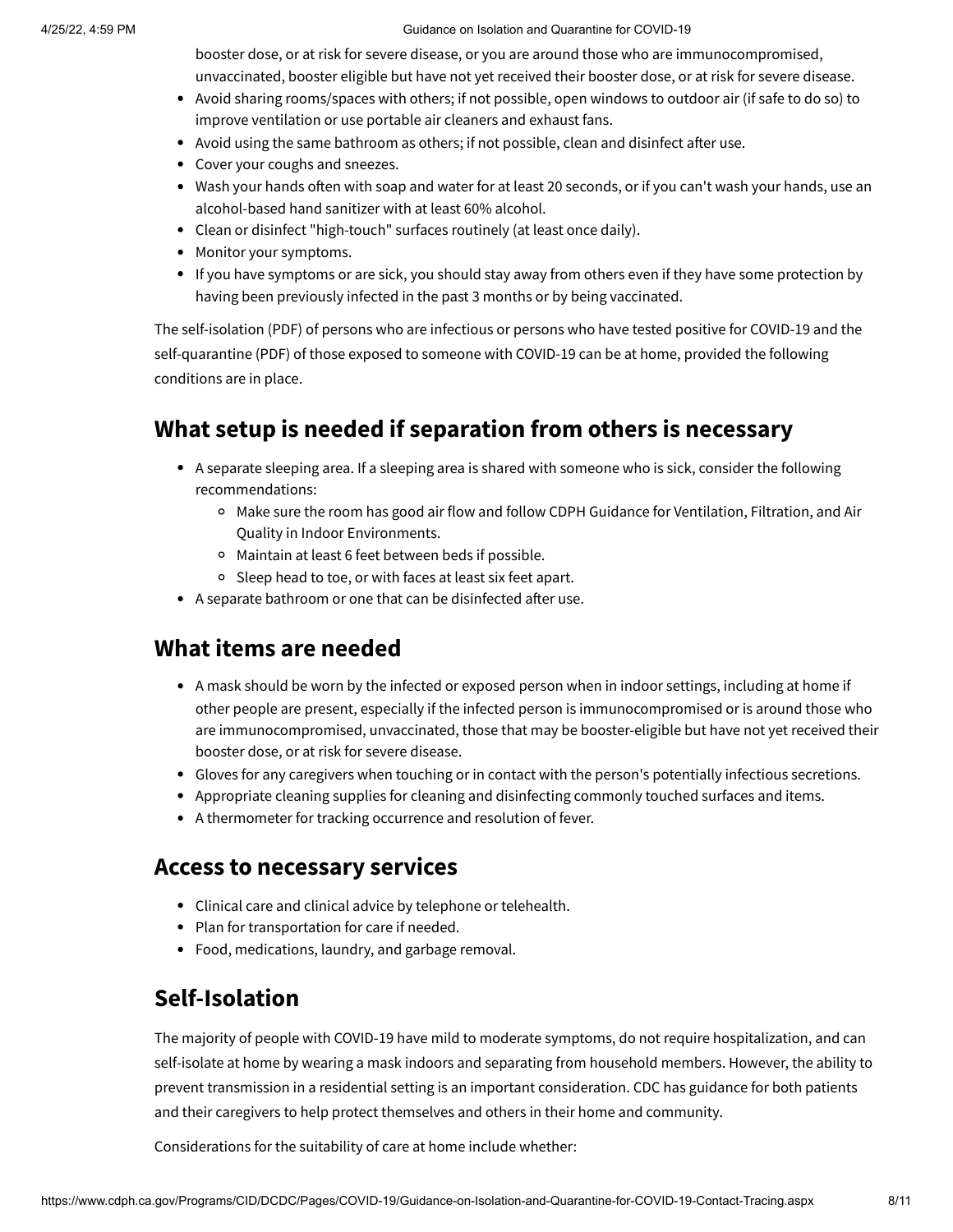4/25/22, 4:59 PM Guidance on Isolation and Quarantine for COVID-19

booster dose, or at risk for severe disease, or you are around those who are immunocompromised, unvaccinated, booster eligible but have not yet received their booster dose, or at risk for severe disease.

- Avoid sharing rooms/spaces with others; if not possible, open windows to outdoor air (if safe to do so) to improve ventilation or use portable air cleaners and exhaust fans.
- Avoid using the same bathroom as others; if not possible, clean and disinfect after use.
- Cover your coughs and sneezes.
- Wash your hands often with soap and water for at least 20 seconds, or if you can't wash your hands, use an alcohol-based hand sanitizer with at least 60% alcohol.
- Clean or disinfect "high-touch" surfaces routinely (at least once daily).
- Monitor your symptoms.
- If you have symptoms or are sick, you should stay away from others even if they have some protection by having been previously infected in the past 3 months or by being vaccinated.

The [self-isolation](https://www.cdph.ca.gov/Programs/CID/DCDC/CDPH%20Document%20Library/COVID-19/self-isolation-instructions.pdf) (PDF) of persons who are infectious or persons who have tested positive for COVID-19 and the [self-quarantine](https://www.cdph.ca.gov/Programs/CID/DCDC/CDPH%20Document%20Library/COVID-19/selfq_handout.pdf) (PDF) of those exposed to someone with COVID-19 can be at home, provided the following conditions are in place.

## **What setup is needed if separation from others is necessary**

- A separate sleeping area. If a sleeping area is shared with someone who is sick, consider the following recommendations:
	- o [Make sure the room has good air flow and follow CDPH](https://www.cdph.ca.gov/Programs/CID/DCDC/Pages/COVID-19/Interim-Guidance-for-Ventilation-Filtration-and-Air-Quality-in-Indoor-Environments.aspx) Guidance for Ventilation, Filtration, and Air Quality in Indoor Environments.
	- Maintain at least 6 feet between beds if possible.
	- <sup>o</sup> Sleep head to toe, or with faces at least six feet apart.
- A separate bathroom or one that can be disinfected after use.

## **What items are needed**

- A mask should be worn by the infected or exposed person when in indoor settings, including at home if other people are present, especially if the infected person is immunocompromised or is around those who are immunocompromised, unvaccinated, those that may be booster-eligible but have not yet received their booster dose, or at risk for severe disease.
- Gloves for any caregivers when touching or in contact with the person's potentially infectious secretions.
- Appropriate cleaning supplies for [cleaning and disinfecting](https://www.cdc.gov/coronavirus/2019-ncov/prevent-getting-sick/disinfecting-your-home.html?CDC_AA_refVal=https://www.cdc.gov/coronavirus/2019-ncov/prevent-getting-sick/cleaning-disinfection.html) commonly touched surfaces and items.
- A thermometer for tracking occurrence and resolution of fever.

## **Access to necessary services**

- Clinical care and clinical advice by telephone or telehealth.
- Plan for transportation for care if needed.
- Food, medications, laundry, and garbage removal.

## **Self-Isolation**

The majority of people with COVID-19 have mild to moderate symptoms, do not require hospitalization, and can [self-isolate](https://www.cdph.ca.gov/Programs/CID/DCDC/Pages/COVID-19/CDPH-Home-Isolation-Guidance.aspx) at home by wearing a mask indoors and separating from household members. However, the ability to [prevent transmission in a residential setting is an important consideration. CDC has](https://www.cdc.gov/coronavirus/2019-ncov/if-you-are-sick/index.html) guidance for both patients and their caregivers to help protect themselves and others in their home and community.

Considerations for the suitability of care at home include whether: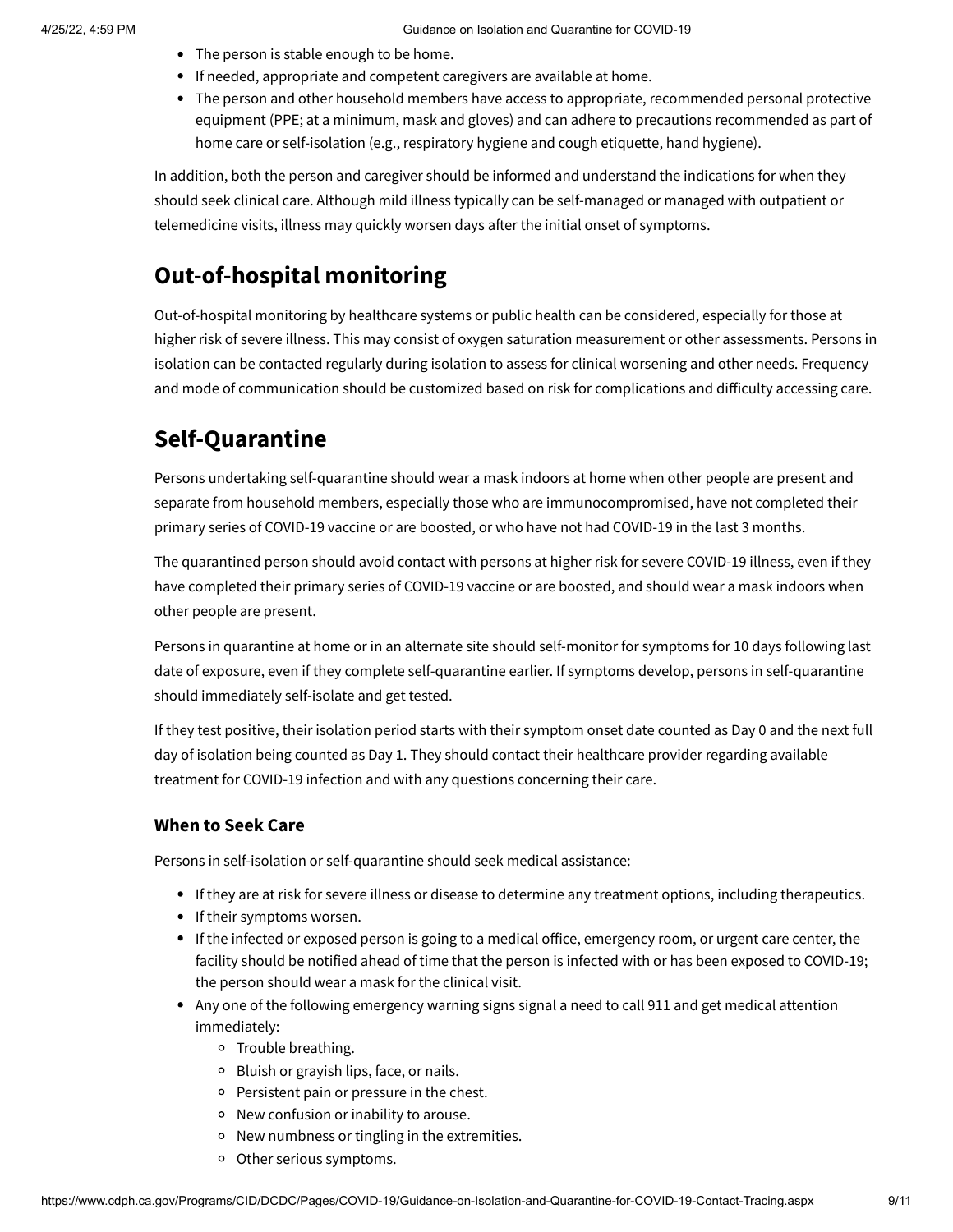- The person is stable enough to be home.
- If needed, appropriate and competent caregivers are available at home.
- The person and other household members have access to appropriate, recommended personal protective equipment (PPE; at a minimum, mask and gloves) and can adhere to precautions recommended as part of home care or self-isolation (e.g., respiratory hygiene and cough etiquette, hand hygiene).

In addition, both the person and caregiver should be informed and understand the indications for when they should seek clinical care. Although mild illness typically can be self-managed or managed with outpatient or telemedicine visits, illness may quickly worsen days after the initial onset of symptoms.

## **Out-of-hospital monitoring**

Out-of-hospital monitoring by healthcare systems or public health can be considered, especially for those at higher risk of severe illness. This may consist of oxygen saturation measurement or other assessments. Persons in isolation can be contacted regularly during isolation to assess for clinical worsening and other needs. Frequency and mode of communication should be customized based on risk for complications and difficulty accessing care.

## **Self-Quarantine**

Persons undertaking [self-quarantine](https://www.cdph.ca.gov/Programs/CID/DCDC/Pages/COVID-19/CDPH-Home-Quarantine-Guidance.aspx) should wear a mask indoors at home when other people are present and separate from household members, especially those who are immunocompromised, have not completed their primary series of COVID-19 vaccine or are boosted, or who have not had COVID-19 in the last 3 months.

The quarantined person should avoid contact with persons at higher risk for severe COVID-19 illness, even if they have completed their primary series of COVID-19 vaccine or are boosted, and should wear a mask indoors when other people are present.

Persons in quarantine at home or in an alternate site should self-monitor for symptoms for 10 days following last date of exposure, even if they complete self-quarantine earlier. If symptoms develop, persons in self-quarantine should immediately self-isolate and get tested.

If they test positive, their isolation period starts with their symptom onset date counted as Day 0 and the next full day of isolation being counted as Day 1. They should contact their healthcare provider regarding available treatment for COVID-19 infection and with any questions concerning their care.

### **When to Seek Care**

Persons in self-isolation or self-quarantine should seek medical assistance:

- If they are at risk for severe illness or disease to determine any treatment options, including therapeutics.
- If their symptoms worsen.
- If the infected or exposed person is going to a medical office, emergency room, or urgent care center, the facility should be notified ahead of time that the person is infected with or has been exposed to COVID-19; the person should wear a mask for the clinical visit.
- Any one of the following emergency warning signs signal a need to call 911 and get medical attention immediately:
	- o Trouble breathing.
	- <sup>o</sup> Bluish or grayish lips, face, or nails.
	- Persistent pain or pressure in the chest.
	- New confusion or inability to arouse.
	- New numbness or tingling in the extremities.
	- o Other serious symptoms.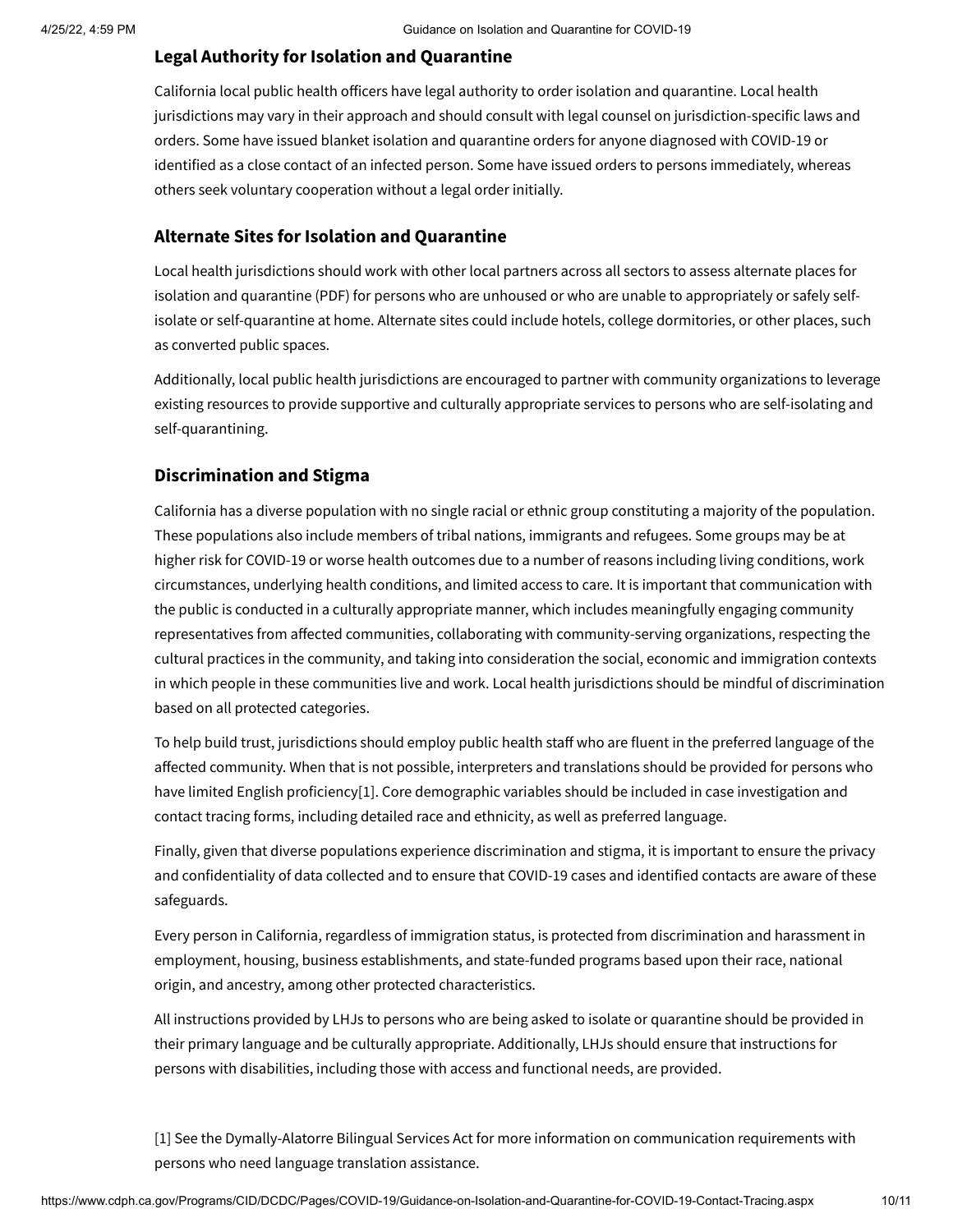## **Legal Authority for Isolation and Quarantine**

California local public health officers have legal authority to order isolation and quarantine. Local health jurisdictions may vary in their approach and should consult with legal counsel on jurisdiction-specific laws and orders. Some have issued blanket isolation and quarantine orders for anyone diagnosed with COVID-19 or identified as a close contact of an infected person. Some have issued orders to persons immediately, whereas others seek voluntary cooperation without a legal order initially.

### **Alternate Sites for Isolation and Quarantine**

[Local health jurisdictions should work with other local partners across all sectors to assess](https://www.cdph.ca.gov/Programs/CID/DCDC/CDPH%20Document%20Library/COVID-19/IndividualsExperiencingHomelessness011321.pdf) alternate places for isolation and quarantine (PDF) for persons who are [unhoused](https://www.cdc.gov/coronavirus/2019-ncov/community/homeless-shelters/unsheltered-homelessness.html) or who are unable to appropriately or safely selfisolate or self-quarantine at home. Alternate sites could include hotels, college dormitories, or other places, such as converted public spaces.

Additionally, local public health jurisdictions are encouraged to partner with community organizations to leverage existing resources to provide supportive and culturally appropriate services to persons who are self-isolating and self-quarantining.

### **Discrimination and Stigma**

California has a diverse population with no single racial or ethnic group constituting a majority of the population. These populations also include members of tribal nations, immigrants and refugees. Some groups may be at higher risk for COVID-19 or worse health outcomes due to a number of reasons including living conditions, work circumstances, underlying health conditions, and limited access to care. It is important that communication with the public is conducted in a culturally appropriate manner, which includes meaningfully engaging community representatives from affected communities, collaborating with community-serving organizations, respecting the cultural practices in the community, and taking into consideration the social, economic and immigration contexts in which people in these communities live and work. Local health jurisdictions should be mindful of discrimination based on all protected categories.

To help build trust, jurisdictions should employ public health staff who are fluent in the preferred language of the affected community. When that is not possible, interpreters and translations should be provided for persons who have limited English proficiency[\[1\]](#page-9-0). Core demographic variables should be included in case investigation and contact tracing forms, including detailed race and ethnicity, as well as preferred language.

Finally, given that diverse populations experience discrimination and stigma, it is important to ensure the privacy and confidentiality of data collected and to ensure that COVID-19 cases and identified contacts are aware of these safeguards.

Every person in California, regardless of immigration status, is protected from discrimination and harassment in [employment](https://www.dfeh.ca.gov/Employment/), [housing,](https://www.dfeh.ca.gov/housing/) [business establishments](https://www.dfeh.ca.gov/unruh/), and [state-funded programs](https://www.dfeh.ca.gov/statefundedprograms/) based upon their race, national origin, and ancestry, among other protected characteristics.

All instructions provided by LHJs to persons who are being asked to isolate or quarantine should be provided in their primary language and be culturally appropriate. Additionally, LHJs should ensure that instructions for persons with disabilities, including those with access and functional needs, are provided.

<span id="page-9-0"></span>[1] See the [Dymally-Alatorre Bilingual Services Act](https://leginfo.legislature.ca.gov/faces/codes_displayText.xhtml?lawCode=GOV&division=7.&title=1.&part=&chapter=17.5.&article=) for more information on communication requirements with persons who need language translation assistance.